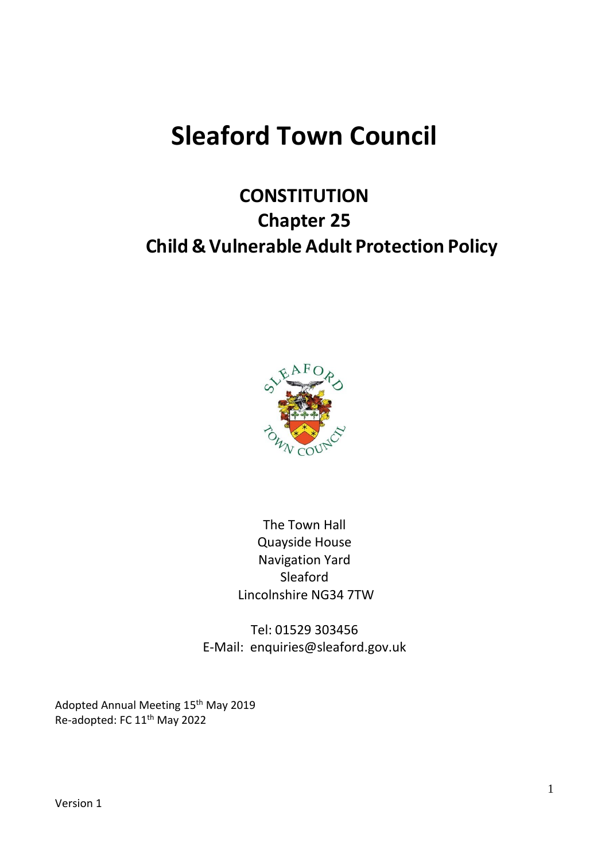# **Sleaford Town Council**

# **CONSTITUTION Chapter 25 Child & Vulnerable Adult Protection Policy**



The Town Hall Quayside House Navigation Yard Sleaford Lincolnshire NG34 7TW

Tel: 01529 303456 E-Mail: enquiries@sleaford.gov.uk

Adopted Annual Meeting 15<sup>th</sup> May 2019 Re-adopted: FC 11<sup>th</sup> May 2022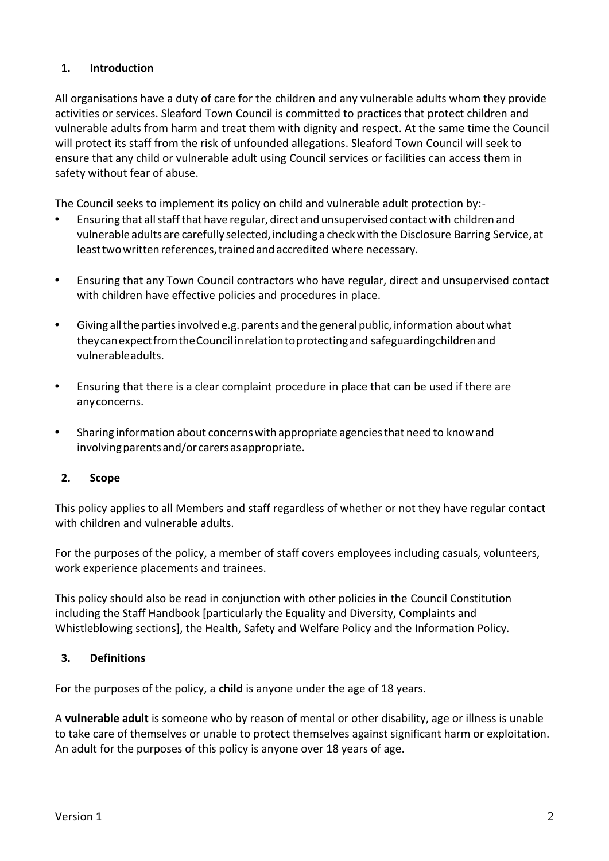# **1. Introduction**

All organisations have a duty of care for the children and any vulnerable adults whom they provide activities or services. Sleaford Town Council is committed to practices that protect children and vulnerable adults from harm and treat them with dignity and respect. At the same time the Council will protect its staff from the risk of unfounded allegations. Sleaford Town Council will seek to ensure that any child or vulnerable adult using Council services or facilities can access them in safety without fear of abuse.

The Council seeks to implement its policy on child and vulnerable adult protection by:-

- **•** Ensuring that allstaffthat have regular, direct and unsupervised contactwith children and vulnerable adults are carefully selected, including a checkwith the Disclosure Barring Service, at least two written references, trained and accredited where necessary.
- **•** Ensuring that any Town Council contractors who have regular, direct and unsupervised contact with children have effective policies and procedures in place.
- **•** Giving allthe partiesinvolved e.g.parents and the general public, information aboutwhat theycanexpectfromtheCouncilinrelationtoprotectingand safeguardingchildrenand vulnerableadults.
- **•** Ensuring that there is a clear complaint procedure in place that can be used if there are anyconcerns.
- **•** Sharing information about concernswith appropriate agenciesthat need to knowand involving parents and/or carers as appropriate.

#### **2. Scope**

This policy applies to all Members and staff regardless of whether or not they have regular contact with children and vulnerable adults.

For the purposes of the policy, a member of staff covers employees including casuals, volunteers, work experience placements and trainees.

This policy should also be read in conjunction with other policies in the Council Constitution including the Staff Handbook [particularly the Equality and Diversity, Complaints and Whistleblowing sections], the Health, Safety and Welfare Policy and the Information Policy.

#### **3. Definitions**

For the purposes of the policy, a **child** is anyone under the age of 18 years.

A **vulnerable adult** is someone who by reason of mental or other disability, age or illness is unable to take care of themselves or unable to protect themselves against significant harm or exploitation. An adult for the purposes of this policy is anyone over 18 years of age.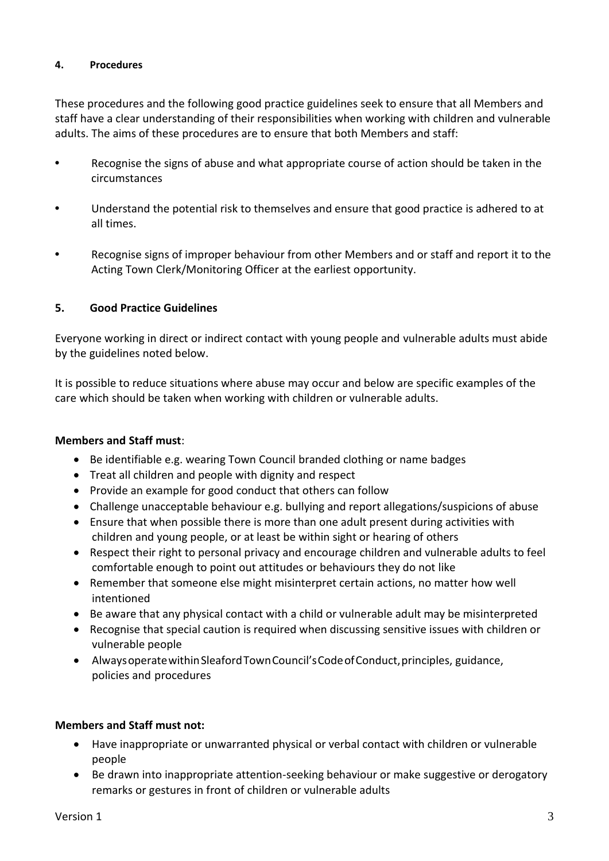#### **4. Procedures**

These procedures and the following good practice guidelines seek to ensure that all Members and staff have a clear understanding of their responsibilities when working with children and vulnerable adults. The aims of these procedures are to ensure that both Members and staff:

- **•** Recognise the signs of abuse and what appropriate course of action should be taken in the circumstances
- **•** Understand the potential risk to themselves and ensure that good practice is adhered to at all times.
- **•** Recognise signs of improper behaviour from other Members and or staff and report it to the Acting Town Clerk/Monitoring Officer at the earliest opportunity.

# **5. Good Practice Guidelines**

Everyone working in direct or indirect contact with young people and vulnerable adults must abide by the guidelines noted below.

It is possible to reduce situations where abuse may occur and below are specific examples of the care which should be taken when working with children or vulnerable adults.

#### **Members and Staff must**:

- Be identifiable e.g. wearing Town Council branded clothing or name badges
- Treat all children and people with dignity and respect
- Provide an example for good conduct that others can follow
- Challenge unacceptable behaviour e.g. bullying and report allegations/suspicions of abuse
- Ensure that when possible there is more than one adult present during activities with children and young people, or at least be within sight or hearing of others
- Respect their right to personal privacy and encourage children and vulnerable adults to feel comfortable enough to point out attitudes or behaviours they do not like
- Remember that someone else might misinterpret certain actions, no matter how well intentioned
- Be aware that any physical contact with a child or vulnerable adult may be misinterpreted
- Recognise that special caution is required when discussing sensitive issues with children or vulnerable people
- AlwaysoperatewithinSleafordTownCouncil'sCodeofConduct,principles, guidance, policies and procedures

# **Members and Staff must not:**

- Have inappropriate or unwarranted physical or verbal contact with children or vulnerable people
- Be drawn into inappropriate attention-seeking behaviour or make suggestive or derogatory remarks or gestures in front of children or vulnerable adults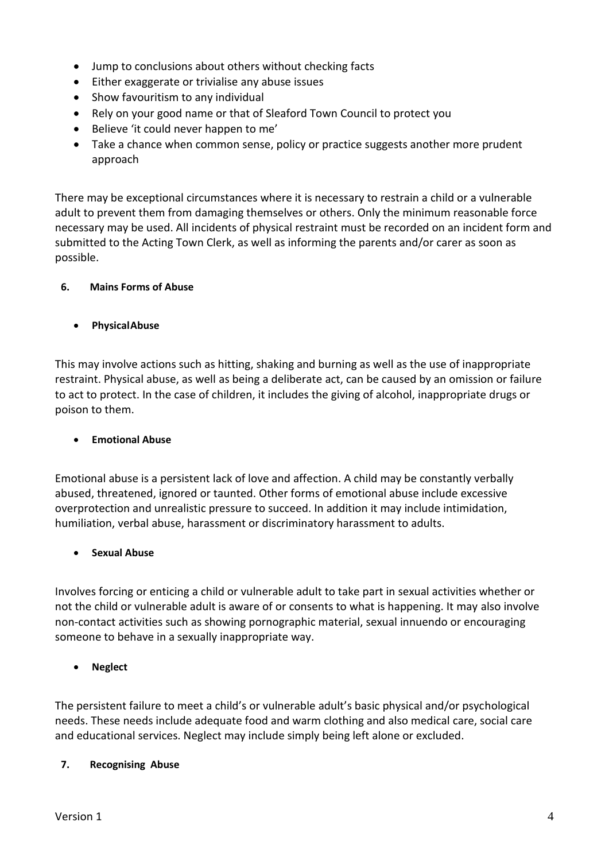- Jump to conclusions about others without checking facts
- Either exaggerate or trivialise any abuse issues
- Show favouritism to any individual
- Rely on your good name or that of Sleaford Town Council to protect you
- Believe 'it could never happen to me'
- Take a chance when common sense, policy or practice suggests another more prudent approach

There may be exceptional circumstances where it is necessary to restrain a child or a vulnerable adult to prevent them from damaging themselves or others. Only the minimum reasonable force necessary may be used. All incidents of physical restraint must be recorded on an incident form and submitted to the Acting Town Clerk, as well as informing the parents and/or carer as soon as possible.

#### **6. Mains Forms of Abuse**

• **PhysicalAbuse**

This may involve actions such as hitting, shaking and burning as well as the use of inappropriate restraint. Physical abuse, as well as being a deliberate act, can be caused by an omission or failure to act to protect. In the case of children, it includes the giving of alcohol, inappropriate drugs or poison to them.

# • **Emotional Abuse**

Emotional abuse is a persistent lack of love and affection. A child may be constantly verbally abused, threatened, ignored or taunted. Other forms of emotional abuse include excessive overprotection and unrealistic pressure to succeed. In addition it may include intimidation, humiliation, verbal abuse, harassment or discriminatory harassment to adults.

#### • **Sexual Abuse**

Involves forcing or enticing a child or vulnerable adult to take part in sexual activities whether or not the child or vulnerable adult is aware of or consents to what is happening. It may also involve non-contact activities such as showing pornographic material, sexual innuendo or encouraging someone to behave in a sexually inappropriate way.

# • **Neglect**

The persistent failure to meet a child's or vulnerable adult's basic physical and/or psychological needs. These needs include adequate food and warm clothing and also medical care, social care and educational services. Neglect may include simply being left alone or excluded.

#### **7. Recognising Abuse**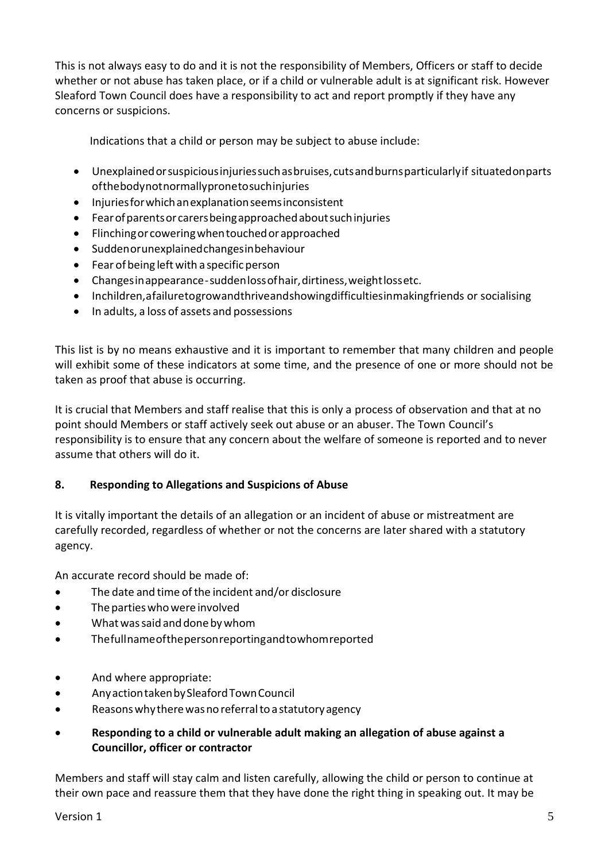This is not always easy to do and it is not the responsibility of Members, Officers or staff to decide whether or not abuse has taken place, or if a child or vulnerable adult is at significant risk. However Sleaford Town Council does have a responsibility to act and report promptly if they have any concerns or suspicions.

Indications that a child or person may be subject to abuse include:

- Unexplainedorsuspiciousinjuriessuchasbruises,cutsandburnsparticularlyif situatedonparts ofthebodynotnormallypronetosuchinjuries
- Injuriesforwhichanexplanationseemsinconsistent
- Fearofparentsorcarersbeingapproachedaboutsuchinjuries
- Flinchingor coweringwhentouchedorapproached
- Suddenorunexplainedchangesinbehaviour
- $\bullet$  Fear of being left with a specific person
- Changesinappearance-suddenlossofhair,dirtiness,weightlossetc.
- Inchildren,afailuretogrowandthriveandshowingdifficultiesinmakingfriends or socialising
- In adults, a loss of assets and possessions

This list is by no means exhaustive and it is important to remember that many children and people will exhibit some of these indicators at some time, and the presence of one or more should not be taken as proof that abuse is occurring.

It is crucial that Members and staff realise that this is only a process of observation and that at no point should Members or staff actively seek out abuse or an abuser. The Town Council's responsibility is to ensure that any concern about the welfare of someone is reported and to never assume that others will do it.

# **8. Responding to Allegations and Suspicions of Abuse**

It is vitally important the details of an allegation or an incident of abuse or mistreatment are carefully recorded, regardless of whether or not the concerns are later shared with a statutory agency.

An accurate record should be made of:

- The date and time ofthe incident and/or disclosure
- The parties who were involved
- What was said and done by whom
- Thefullnameofthepersonreportingandtowhomreported
- And where appropriate:
- AnyactiontakenbySleafordTownCouncil
- Reasons why there was no referral to a statutory agency
- **Responding to a child or vulnerable adult making an allegation of abuse against a Councillor, officer or contractor**

Members and staff will stay calm and listen carefully, allowing the child or person to continue at their own pace and reassure them that they have done the right thing in speaking out. It may be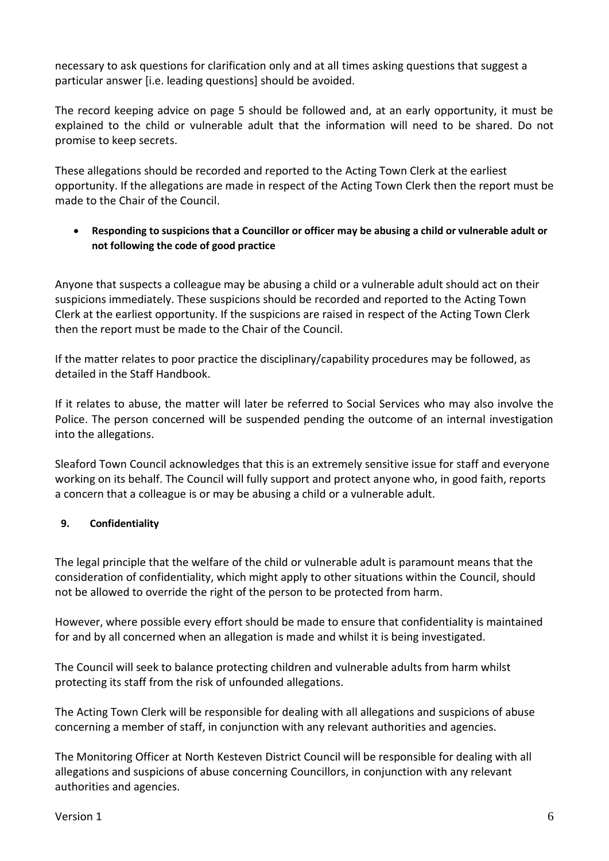necessary to ask questions for clarification only and at all times asking questions that suggest a particular answer [i.e. leading questions] should be avoided.

The record keeping advice on page 5 should be followed and, at an early opportunity, it must be explained to the child or vulnerable adult that the information will need to be shared. Do not promise to keep secrets.

These allegations should be recorded and reported to the Acting Town Clerk at the earliest opportunity. If the allegations are made in respect of the Acting Town Clerk then the report must be made to the Chair of the Council.

• **Responding to suspicions that a Councillor or officer may be abusing a child or vulnerable adult or not following the code of good practice**

Anyone that suspects a colleague may be abusing a child or a vulnerable adult should act on their suspicions immediately. These suspicions should be recorded and reported to the Acting Town Clerk at the earliest opportunity. If the suspicions are raised in respect of the Acting Town Clerk then the report must be made to the Chair of the Council.

If the matter relates to poor practice the disciplinary/capability procedures may be followed, as detailed in the Staff Handbook.

If it relates to abuse, the matter will later be referred to Social Services who may also involve the Police. The person concerned will be suspended pending the outcome of an internal investigation into the allegations.

Sleaford Town Council acknowledges that this is an extremely sensitive issue for staff and everyone working on its behalf. The Council will fully support and protect anyone who, in good faith, reports a concern that a colleague is or may be abusing a child or a vulnerable adult.

# **9. Confidentiality**

The legal principle that the welfare of the child or vulnerable adult is paramount means that the consideration of confidentiality, which might apply to other situations within the Council, should not be allowed to override the right of the person to be protected from harm.

However, where possible every effort should be made to ensure that confidentiality is maintained for and by all concerned when an allegation is made and whilst it is being investigated.

The Council will seek to balance protecting children and vulnerable adults from harm whilst protecting its staff from the risk of unfounded allegations.

The Acting Town Clerk will be responsible for dealing with all allegations and suspicions of abuse concerning a member of staff, in conjunction with any relevant authorities and agencies.

The Monitoring Officer at North Kesteven District Council will be responsible for dealing with all allegations and suspicions of abuse concerning Councillors, in conjunction with any relevant authorities and agencies.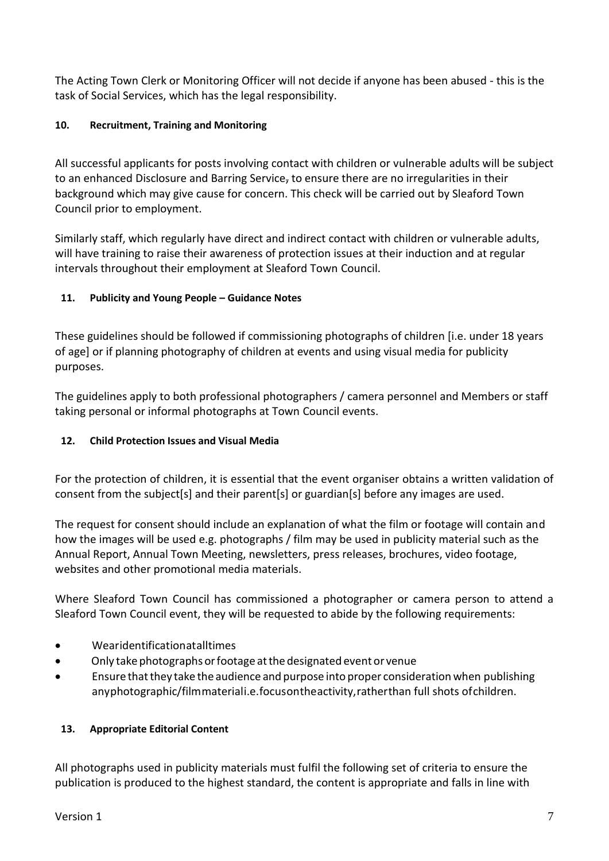The Acting Town Clerk or Monitoring Officer will not decide if anyone has been abused - this is the task of Social Services, which has the legal responsibility.

# **10. Recruitment, Training and Monitoring**

All successful applicants for posts involving contact with children or vulnerable adults will be subject to an enhanced Disclosure and Barring Service, to ensure there are no irregularities in their background which may give cause for concern. This check will be carried out by Sleaford Town Council prior to employment.

Similarly staff, which regularly have direct and indirect contact with children or vulnerable adults, will have training to raise their awareness of protection issues at their induction and at regular intervals throughout their employment at Sleaford Town Council.

# **11. Publicity and Young People – Guidance Notes**

These guidelines should be followed if commissioning photographs of children [i.e. under 18 years of age] or if planning photography of children at events and using visual media for publicity purposes.

The guidelines apply to both professional photographers / camera personnel and Members or staff taking personal or informal photographs at Town Council events.

# **12. Child Protection Issues and Visual Media**

For the protection of children, it is essential that the event organiser obtains a written validation of consent from the subject[s] and their parent[s] or guardian[s] before any images are used.

The request for consent should include an explanation of what the film or footage will contain and how the images will be used e.g. photographs / film may be used in publicity material such as the Annual Report, Annual Town Meeting, newsletters, press releases, brochures, video footage, websites and other promotional media materials.

Where Sleaford Town Council has commissioned a photographer or camera person to attend a Sleaford Town Council event, they will be requested to abide by the following requirements:

- Wearidentificationatalltimes
- Only take photographs orfootage atthedesignated event or venue
- Ensure thatthey take the audience and purpose into proper consideration when publishing anyphotographic/filmmateriali.e.focusontheactivity,ratherthan full shots ofchildren.

# **13. Appropriate Editorial Content**

All photographs used in publicity materials must fulfil the following set of criteria to ensure the publication is produced to the highest standard, the content is appropriate and falls in line with